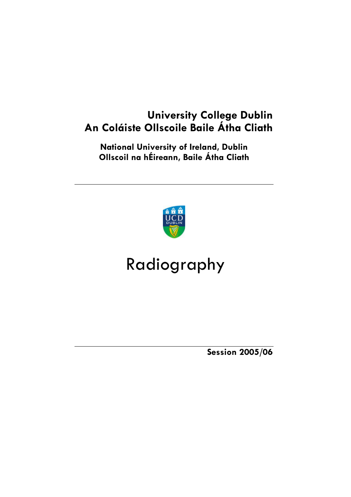## **University College Dublin An Coláiste Ollscoile Baile Átha Cliath**

**National University of Ireland, Dublin Ollscoil na hÉireann, Baile Átha Cliath** 



# Radiography

**Session 2005/06**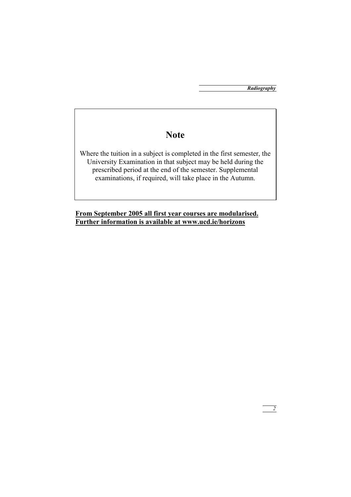*2*

## **Note**

Where the tuition in a subject is completed in the first semester, the University Examination in that subject may be held during the prescribed period at the end of the semester. Supplemental examinations, if required, will take place in the Autumn.

**From September 2005 all first year courses are modularised. Further information is available at www.ucd.ie/horizons**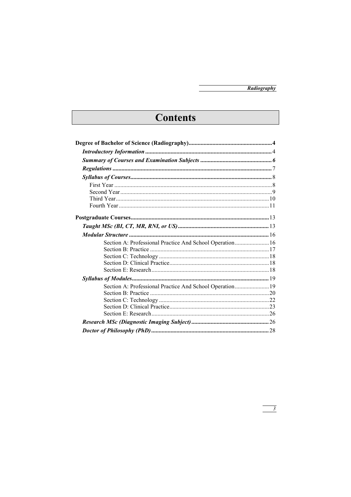## Contents

| Section A: Professional Practice And School Operation 16 |  |
|----------------------------------------------------------|--|
|                                                          |  |
|                                                          |  |
|                                                          |  |
|                                                          |  |
|                                                          |  |
| Section A: Professional Practice And School Operation19  |  |
|                                                          |  |
|                                                          |  |
|                                                          |  |
|                                                          |  |
|                                                          |  |
|                                                          |  |

 $\frac{3}{\sqrt{3}}$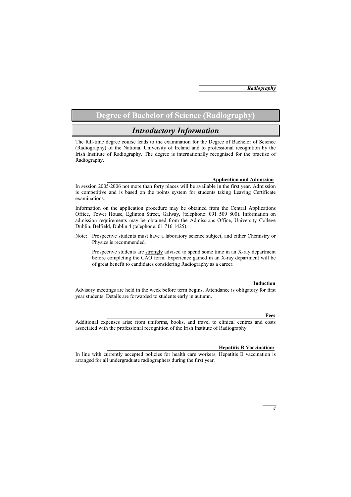## **Degree of Bachelor of Science (Radiography)**

## *Introductory Information*

The full-time degree course leads to the examination for the Degree of Bachelor of Science (Radiography) of the National University of Ireland and to professional recognition by the Irish Institute of Radiography. The degree is internationally recognised for the practise of Radiography.

#### **Application and Admission**

In session 2005/2006 not more than forty places will be available in the first year. Admission is competitive and is based on the points system for students taking Leaving Certificate examinations.

Information on the application procedure may be obtained from the Central Applications Office, Tower House, Eglinton Street, Galway, (telephone: 091 509 800). Information on admission requirements may be obtained from the Admissions Office, University College Dublin, Belfield, Dublin 4 (telephone: 01 716 1425).

Note: Prospective students must have a laboratory science subject, and either Chemistry or Physics is recommended.

 Prospective students are strongly advised to spend some time in an X-ray department before completing the CAO form. Experience gained in an X-ray department will be of great benefit to candidates considering Radiography as a career.

#### **Induction**

Advisory meetings are held in the week before term begins. Attendance is obligatory for first year students. Details are forwarded to students early in autumn.

#### **Fees**

Additional expenses arise from uniforms, books, and travel to clinical centres and costs associated with the professional recognition of the Irish Institute of Radiography.

#### **Hepatitis B Vaccination:**

In line with currently accepted policies for health care workers, Hepatitis B vaccination is arranged for all undergraduate radiographers during the first year.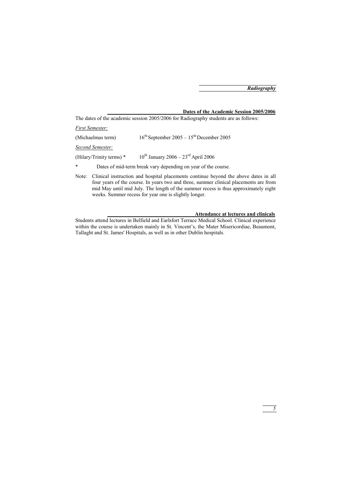## **Dates of the Academic Session 2005/2006**

The dates of the academic session 2005/2006 for Radiography students are as follows:

*First Semester:*

| (Michaelmas term)          | $16th$ September 2005 – $15th$ December 2005                  |
|----------------------------|---------------------------------------------------------------|
| Second Semester:           |                                                               |
| (Hilary/Trinity terms) $*$ | $10^{th}$ January 2006 – 23 <sup>rd</sup> April 2006          |
| $\ast$                     | Dates of mid-term break vary depending on year of the course. |

Note: Clinical instruction and hospital placements continue beyond the above dates in all four years of the course. In years two and three, summer clinical placements are from mid May until mid July. The length of the summer recess is thus approximately eight weeks. Summer recess for year one is slightly longer.

### **Attendance at lectures and clinicals**

Students attend lectures in Belfield and Earlsfort Terrace Medical School. Clinical experience within the course is undertaken mainly in St. Vincent's, the Mater Misericordiae, Beaumont, Tallaght and St. James' Hospitals, as well as in other Dublin hospitals.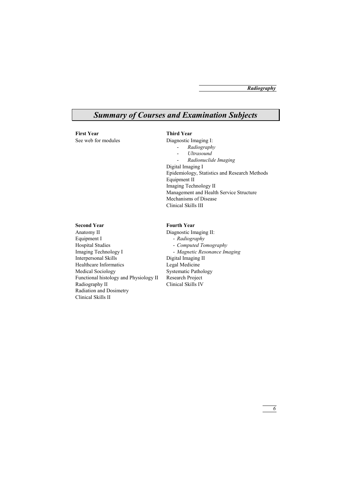## *Summary of Courses and Examination Subjects*

**First Year**  See web for modules

### **Third Year**

Diagnostic Imaging I:

- *Radiography*
- *Ultrasound*
- *Radionuclide Imaging*

Digital Imaging I Epidemiology, Statistics and Research Methods Equipment II Imaging Technology II Management and Health Service Structure Mechanisms of Disease Clinical Skills III

### **Second Year**

Anatomy II Equipment I Hospital Studies Imaging Technology I Interpersonal Skills Healthcare Informatics Medical Sociology Functional histology and Physiology II Radiography II Radiation and Dosimetry Clinical Skills II

### **Fourth Year**

Diagnostic Imaging II: - *Radiography*  - *Computed Tomography*  - *Magnetic Resonance Imaging*  Digital Imaging II Legal Medicine Systematic Pathology Research Project Clinical Skills IV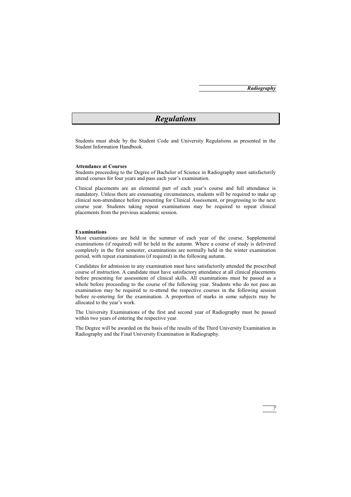## *Regulations*

Students must abide by the Student Code and University Regulations as presented in the Student Information Handbook.

#### **Attendance at Courses**

Students proceeding to the Degree of Bachelor of Science in Radiography must satisfactorily attend courses for four years and pass each year's examination.

Clinical placements are an elemental part of each year's course and full attendance is mandatory. Unless there are extenuating circumstances, students will be required to make up clinical non-attendance before presenting for Clinical Assessment, or progressing to the next course year. Students taking repeat examinations may be required to repeat clinical placements from the previous academic session.

#### **Examinations**

Most examinations are held in the summer of each year of the course. Supplemental examinations (if required) will be held in the autumn. Where a course of study is delivered completely in the first semester, examinations are normally held in the winter examination period, with repeat examinations (if required) in the following autumn.

Candidates for admission to any examination must have satisfactorily attended the prescribed course of instruction. A candidate must have satisfactory attendance at all clinical placements before presenting for assessment of clinical skills. All examinations must be passed as a whole before proceeding to the course of the following year. Students who do not pass an examination may be required to re-attend the respective courses in the following session before re-entering for the examination. A proportion of marks in some subjects may be allocated to the year's work.

The University Examinations of the first and second year of Radiography must be passed within two years of entering the respective year.

The Degree will be awarded on the basis of the results of the Third University Examination in Radiography and the Final University Examination in Radiography.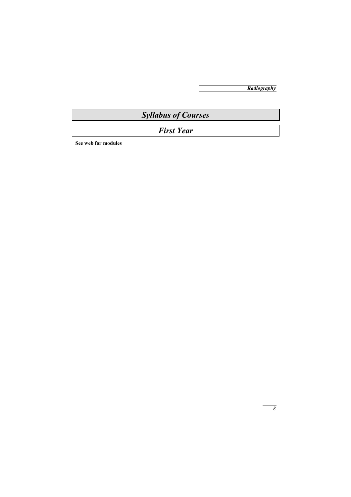## *Syllabus of Courses*

## *First Year*

**See web for modules**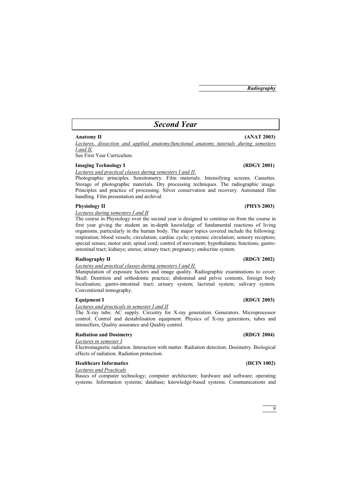## *Second Year*

#### **Anatomy II (ANAT 2003)**

*Lectures, dissection and applied anatomy/functional anatomy tutorials during semesters I and II.*

See First Year Curriculum.

### **Imaging Technology I** (RDGY 2001)

*Lectures and practical classes during semesters I and II.*

Photographic principles. Sensitometry. Film materials. Intensifying screens. Cassettes. Storage of photographic materials. Dry processing techniques. The radiographic image. Principles and practice of processing. Silver conservation and recovery. Automated film handling. Film presentation and archival.

#### Physiology II (PHYS 2003)

*Lectures during semesters I and II*

The course in Physiology over the second year is designed to continue on from the course in first year giving the student an in-depth knowledge of fundamental reactions of living organisms, particularly in the human body. The major topics covered include the following: respiration; blood vessels; circulation; cardiac cycle; systemic circulation; sensory receptors; special senses; motor unit; spinal cord; control of movement; hypothalamic functions; gastrointestinal tract; kidneys; uterus; urinary tract; pregnancy; endocrine system.

#### Radiography II **(RDGY 2002) (RDGY 2002)**

#### *Lectures and practical classes during semesters I and II.*

Manipulation of exposure factors and image quality. Radiographic examinations to cover: Skull. Dentition and orthodontic practice; abdominal and pelvic contents, foreign body localisation; gastro-intestinal tract; urinary system; lacrimal system; salivary system. Conventional tomography.

*Lectures and practicals in semester I and II*

The X-ray tube. AC supply. Circuitry for X-ray generation. Generators. Microprocessor control. Control and destabilisation equipment. Physics of X-ray generators, tubes and intensifiers, Quality assurance and Quality control.

### **Radiation and Dosimetry (RDGY 2004)**

*Lectures in semester I*

Electromagnetic radiation. Interaction with matter. Radiation detection. Dosimetry. Biological effects of radiation. Radiation protection.

### **Healthcare Informatics (HCIN 1002)**

### *Lectures and Practicals*

Basics of computer technology; computer architecture; hardware and software; operating systems. Information systems; database; knowledge-based systems. Communications and

#### **Equipment I** (RDGY 2003)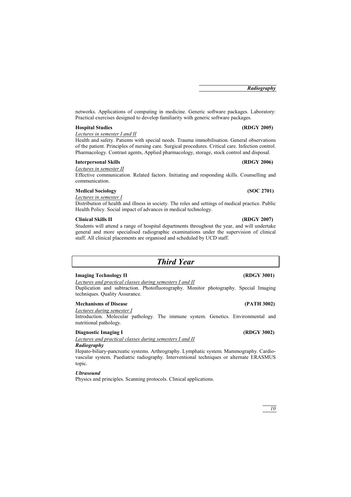networks. Applications of computing in medicine. Generic software packages. Laboratory: Practical exercises designed to develop familiarity with generic software packages.

#### **Hospital Studies (RDGY 2005)**

*Lectures in semester I and II*

Health and safety. Patients with special needs. Trauma immobilisation. General observations of the patient. Principles of nursing care. Surgical procedures. Critical care. Infection control. Pharmacology. Contrast agents, Applied pharmacology, storage, stock control and disposal.

#### **Interpersonal Skills (RDGY 2006)**

*Lectures in semester II*

Effective communication. Related factors. Initiating and responding skills. Counselling and communication.

### **Medical Sociology (SOC 2701)**

*Lectures in semester I*

Distribution of health and illness in society. The roles and settings of medical practice. Public Health Policy. Social impact of advances in medical technology.

#### **Clinical Skills II (RDGY 2007)**

Students will attend a range of hospital departments throughout the year, and will undertake general and more specialised radiographic examinations under the supervision of clinical staff. All clinical placements are organised and scheduled by UCD staff.

### *Third Year*

#### **Imaging Technology II (RDGY 3001)**

*Lectures and practical classes during semesters I and II*

Duplication and subtraction. Photofluorography. Monitor photography. Special Imaging techniques. Quality Assurance.

### **Mechanisms of Disease (PATH 3002)**

*Lectures during semester I* 

Introduction. Molecular pathology. The immune system. Genetics. Environmental and nutritional pathology.

### **Diagnostic Imaging I** (RDGY 3002)

*Lectures and practical classes during semesters I and II*

## *Radiography*

Hepato-biliary-pancreatic systems. Arthrography. Lymphatic system. Mammography. Cardiovascular system. Paediatric radiography. Interventional techniques or alternate ERASMUS topic.

### *Ultrasound*

Physics and principles. Scanning protocols. Clinical applications.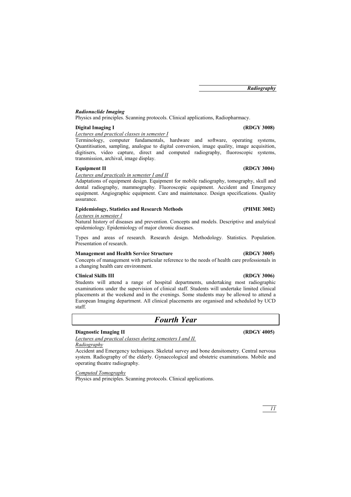### *Radionuclide Imaging*

Physics and principles. Scanning protocols. Clinical applications, Radiopharmacy.

### **Digital Imaging I (RDGY 3008)**

*Lectures and practical classes in semester I*

Terminology, computer fundamentals, hardware and software, operating systems, Quantitisation, sampling, analogue to digital conversion, image quality, image acquisition, digitisers, video capture, direct and computed radiography, fluoroscopic systems, transmission, archival, image display.

### **Equipment II** (RDGY 3004)

*Lectures and practicals in semester I and II*

Adaptations of equipment design. Equipment for mobile radiography, tomography, skull and dental radiography, mammography. Fluoroscopic equipment. Accident and Emergency equipment. Angiographic equipment. Care and maintenance. Design specifications. Quality assurance.

### **Epidemiology, Statistics and Research Methods (PHME 3002)**

*Lectures in semester I*

Natural history of diseases and prevention. Concepts and models. Descriptive and analytical epidemiology. Epidemiology of major chronic diseases.

Types and areas of research. Research design. Methodology. Statistics. Population. Presentation of research.

#### **Management and Health Service Structure (RDGY 3005)**

Concepts of management with particular reference to the needs of health care professionals in a changing health care environment.

#### **Clinical Skills III (RDGY 3006)**

Students will attend a range of hospital departments, undertaking most radiographic examinations under the supervision of clinical staff. Students will undertake limited clinical placements at the weekend and in the evenings. Some students may be allowed to attend a European Imaging department. All clinical placements are organised and scheduled by UCD staff.

## *Fourth Year*

### **Diagnostic Imaging II** (RDGY 4005)

*Lectures and practical classes during semesters I and II. Radiography*

Accident and Emergency techniques. Skeletal survey and bone densitometry. Central nervous system. Radiography of the elderly. Gynaecological and obstetric examinations. Mobile and operating theatre radiography.

*Computed Tomography*

Physics and principles. Scanning protocols. Clinical applications.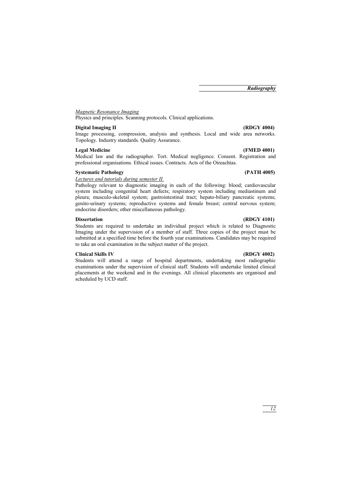### *Magnetic Resonance Imaging*

Physics and principles. Scanning protocols. Clinical applications.

### **Digital Imaging II (RDGY 4004)**

Image processing, compression, analysis and synthesis. Local and wide area networks. Topology. Industry standards. Quality Assurance.

#### **Legal Medicine (FMED 4001)**

Medical law and the radiographer. Tort. Medical negligence. Consent. Registration and professional organisations. Ethical issues. Contracts. Acts of the Oireachtas.

#### **Systematic Pathology (PATH 4005)**

#### *Lectures and tutorials during semester II.*

Pathology relevant to diagnostic imaging in each of the following: blood; cardiovascular system including congenital heart defects; respiratory system including mediastinum and pleura; musculo-skeletal system; gastrointestinal tract; hepato-biliary pancreatic systems; genito-urinary systems; reproductive systems and female breast; central nervous system; endocrine disorders; other miscellaneous pathology.

#### **Dissertation** (RDGY 4101)

Students are required to undertake an individual project which is related to Diagnostic Imaging under the supervision of a member of staff. Three copies of the project must be submitted at a specified time before the fourth year examinations. Candidates may be required to take an oral examination in the subject matter of the project.

#### **Clinical Skills IV (RDGY 4002)**

Students will attend a range of hospital departments, undertaking most radiographic examinations under the supervision of clinical staff. Students will undertake limited clinical placements at the weekend and in the evenings. All clinical placements are organised and scheduled by UCD staff.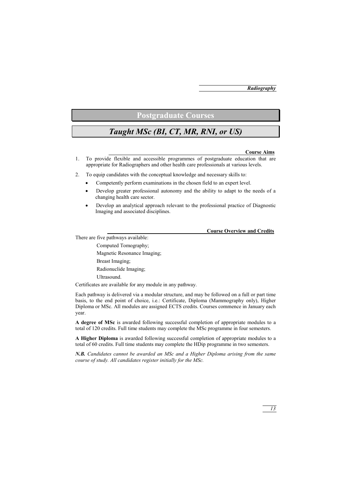## **Postgraduate Courses**

## *Taught MSc (BI, CT, MR, RNI, or US)*

#### **Course Aims**

- 1. To provide flexible and accessible programmes of postgraduate education that are appropriate for Radiographers and other health care professionals at various levels.
- 2. To equip candidates with the conceptual knowledge and necessary skills to:
	- Competently perform examinations in the chosen field to an expert level.
	- Develop greater professional autonomy and the ability to adapt to the needs of a changing health care sector.
	- Develop an analytical approach relevant to the professional practice of Diagnostic Imaging and associated disciplines.

### **Course Overview and Credits**

There are five pathways available:

Computed Tomography; Magnetic Resonance Imaging; Breast Imaging; Radionuclide Imaging; Ultrasound.

Certificates are available for any module in any pathway.

Each pathway is delivered via a modular structure, and may be followed on a full or part time basis, to the end point of choice, i.e.: Certificate, Diploma (Mammography only), Higher Diploma or MSc. All modules are assigned ECTS credits. Courses commence in January each year.

**A degree of MSc** is awarded following successful completion of appropriate modules to a total of 120 credits. Full time students may complete the MSc programme in four semesters.

**A Higher Diploma** is awarded following successful completion of appropriate modules to a total of 60 credits. Full time students may complete the HDip programme in two semesters.

*N.B. Candidates cannot be awarded an MSc and a Higher Diploma arising from the same course of study. All candidates register initially for the MSc.*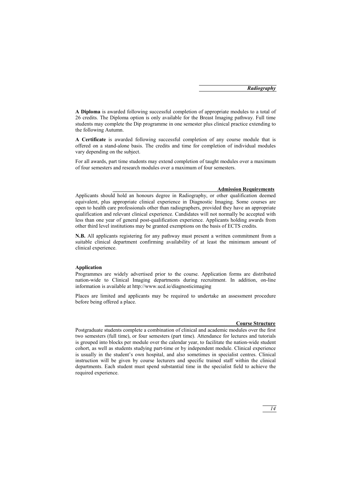**A Diploma** is awarded following successful completion of appropriate modules to a total of 26 credits. The Diploma option is only available for the Breast Imaging pathway. Full time students may complete the Dip programme in one semester plus clinical practice extending to the following Autumn.

**A Certificate** is awarded following successful completion of any course module that is offered on a stand-alone basis. The credits and time for completion of individual modules vary depending on the subject.

For all awards, part time students may extend completion of taught modules over a maximum of four semesters and research modules over a maximum of four semesters.

#### **Admission Requirements**

Applicants should hold an honours degree in Radiography, or other qualification deemed equivalent, plus appropriate clinical experience in Diagnostic Imaging. Some courses are open to health care professionals other than radiographers, provided they have an appropriate qualification and relevant clinical experience. Candidates will not normally be accepted with less than one year of general post-qualification experience. Applicants holding awards from other third level institutions may be granted exemptions on the basis of ECTS credits.

**N.B.** All applicants registering for any pathway must present a written commitment from a suitable clinical department confirming availability of at least the minimum amount of clinical experience.

### **Application**

Programmes are widely advertised prior to the course. Application forms are distributed nation-wide to Clinical Imaging departments during recruitment. In addition, on-line information is available at http://www.ucd.ie/diagnosticimaging

Places are limited and applicants may be required to undertake an assessment procedure before being offered a place.

#### **Course Structure**

Postgraduate students complete a combination of clinical and academic modules over the first two semesters (full time), or four semesters (part time). Attendance for lectures and tutorials is grouped into blocks per module over the calendar year, to facilitate the nation-wide student cohort, as well as students studying part-time or by independent module. Clinical experience is usually in the student's own hospital, and also sometimes in specialist centres. Clinical instruction will be given by course lecturers and specific trained staff within the clinical departments. Each student must spend substantial time in the specialist field to achieve the required experience.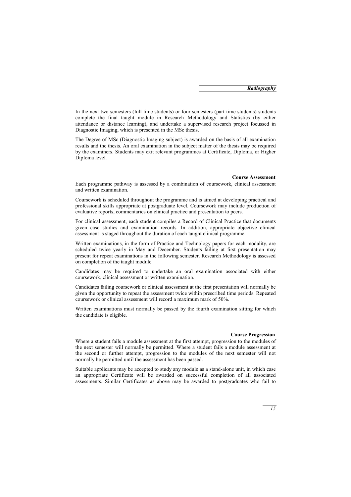In the next two semesters (full time students) or four semesters (part-time students) students complete the final taught module in Research Methodology and Statistics (by either attendance or distance learning), and undertake a supervised research project focussed in Diagnostic Imaging, which is presented in the MSc thesis.

The Degree of MSc (Diagnostic Imaging subject) is awarded on the basis of all examination results and the thesis. An oral examination in the subject matter of the thesis may be required by the examiners. Students may exit relevant programmes at Certificate, Diploma, or Higher Diploma level.

#### **Course Assessment**

Each programme pathway is assessed by a combination of coursework, clinical assessment and written examination.

Coursework is scheduled throughout the programme and is aimed at developing practical and professional skills appropriate at postgraduate level. Coursework may include production of evaluative reports, commentaries on clinical practice and presentation to peers.

For clinical assessment, each student compiles a Record of Clinical Practice that documents given case studies and examination records. In addition, appropriate objective clinical assessment is staged throughout the duration of each taught clinical programme.

Written examinations, in the form of Practice and Technology papers for each modality, are scheduled twice yearly in May and December. Students failing at first presentation may present for repeat examinations in the following semester. Research Methodology is assessed on completion of the taught module.

Candidates may be required to undertake an oral examination associated with either coursework, clinical assessment or written examination.

Candidates failing coursework or clinical assessment at the first presentation will normally be given the opportunity to repeat the assessment twice within prescribed time periods. Repeated coursework or clinical assessment will record a maximum mark of 50%.

Written examinations must normally be passed by the fourth examination sitting for which the candidate is eligible.

#### **Course Progression**

Suitable applicants may be accepted to study any module as a stand-alone unit, in which case an appropriate Certificate will be awarded on successful completion of all associated assessments. Similar Certificates as above may be awarded to postgraduates who fail to

Where a student fails a module assessment at the first attempt, progression to the modules of the next semester will normally be permitted. Where a student fails a module assessment at the second or further attempt, progression to the modules of the next semester will not normally be permitted until the assessment has been passed.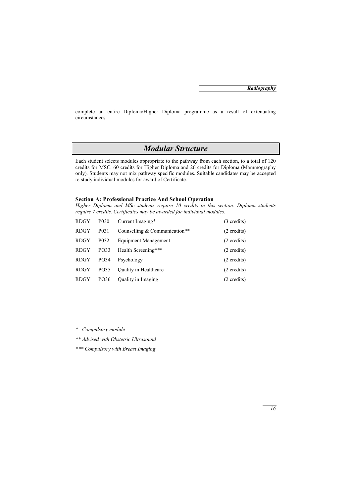complete an entire Diploma/Higher Diploma programme as a result of extenuating circumstances.

## *Modular Structure*

Each student selects modules appropriate to the pathway from each section, to a total of 120 credits for MSC, 60 credits for Higher Diploma and 26 credits for Diploma (Mammography only). Students may not mix pathway specific modules. Suitable candidates may be accepted to study individual modules for award of Certificate.

### **Section A: Professional Practice And School Operation**

*Higher Diploma and MSc students require 10 credits in this section. Diploma students require 7 credits. Certificates may be awarded for individual modules.*

| <b>RDGY</b> | P <sub>0</sub> 30 | Current Imaging*              | $(3 \text{ credits})$ |
|-------------|-------------------|-------------------------------|-----------------------|
| <b>RDGY</b> | P <sub>0</sub> 31 | Counselling & Communication** | $(2 \text{ credits})$ |
| <b>RDGY</b> | P <sub>0</sub> 32 | Equipment Management          | $(2 \text{ credits})$ |
| <b>RDGY</b> | PO33              | Health Screening***           | $(2 \text{ credits})$ |
| <b>RDGY</b> | PO34              | Psychology                    | $(2 \text{ credits})$ |
| RDGY        | PO35              | <b>Ouality in Healthcare</b>  | $(2 \text{ credits})$ |
| <b>RDGY</b> | PO36              | <b>Quality in Imaging</b>     | $(2 \text{ credits})$ |

*\* Compulsory module* 

*\*\* Advised with Obstetric Ultrasound* 

*\*\*\* Compulsory with Breast Imaging*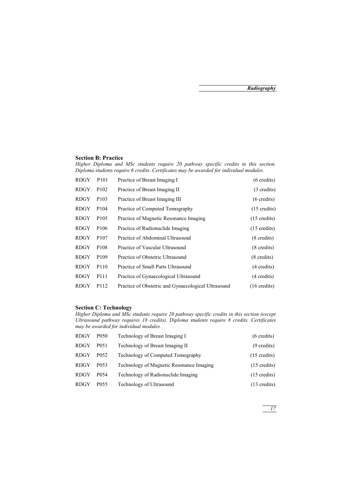### **Section B: Practice**

*Higher Diploma and MSc students require 20 pathway specific credits in this section. Diploma students require 6 credits. Certificates may be awarded for individual modules.*

| <b>RDGY</b> | P <sub>101</sub> | Practice of Breast Imaging I                        | $(6 \text{ credits})$  |
|-------------|------------------|-----------------------------------------------------|------------------------|
| <b>RDGY</b> | P <sub>102</sub> | Practice of Breast Imaging II                       | (3 credits)            |
| RDGY        | P <sub>103</sub> | Practice of Breast Imaging III                      | $(6 \text{ credits})$  |
| RDGY        | P <sub>104</sub> | Practice of Computed Tomography                     | $(15 \text{ credits})$ |
| RDGY        | P <sub>105</sub> | Practice of Magnetic Resonance Imaging              | $(15 \text{ credits})$ |
| <b>RDGY</b> | P <sub>106</sub> | Practice of Radionuclide Imaging                    | $(15 \text{ credits})$ |
| <b>RDGY</b> | P <sub>107</sub> | Practice of Abdominal Ultrasound                    | $(8 \text{ credits})$  |
| RDGY        | P <sub>108</sub> | Practice of Vascular Ultrasound                     | $(8 \text{ credits})$  |
| <b>RDGY</b> | P <sub>109</sub> | Practice of Obstetric Ultrasound                    | $(8 \text{ credits})$  |
| <b>RDGY</b> | P <sub>110</sub> | Practice of Small Parts Ultrasound                  | (4 credits)            |
| RDGY        | P <sub>111</sub> | Practice of Gynaecological Ultrasound               | (4 credits)            |
| RDGY        | P112             | Practice of Obstetric and Gynaecological Ultrasound | $(16 \text{ credits})$ |

### **Section C: Technology**

*Higher Diploma and MSc students require 20 pathway specific credits in this section (except Ultrasound pathway requires 18 credits). Diploma students require 8 credits. Certificates may be awarded for individual modules.*

| <b>RDGY</b> | P <sub>050</sub> | Technology of Breast Imaging I           | $(6 \text{ credits})$  |
|-------------|------------------|------------------------------------------|------------------------|
| <b>RDGY</b> | P <sub>051</sub> | Technology of Breast Imaging II          | $(9 \text{ credits})$  |
| <b>RDGY</b> | P <sub>052</sub> | Technology of Computed Tomography        | $(15 \text{ credits})$ |
| <b>RDGY</b> | P <sub>053</sub> | Technology of Magnetic Resonance Imaging | $(15 \text{ credits})$ |
| <b>RDGY</b> | P <sub>054</sub> | Technology of Radionuclide Imaging       | $(15 \text{ credits})$ |
| <b>RDGY</b> | P <sub>055</sub> | Technology of Ultrasound                 | $(13 \text{ credits})$ |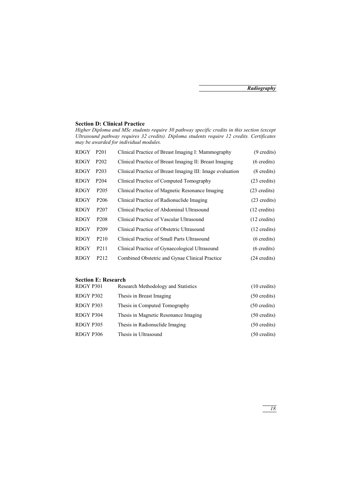### **Section D: Clinical Practice**

*Higher Diploma and MSc students require 30 pathway specific credits in this section (except Ultrasound pathway requires 32 credits). Diploma students require 12 credits. Certificates may be awarded for individual modules.*

| RDGY        | P <sub>201</sub>  | Clinical Practice of Breast Imaging I: Mammography        | (9 credits)            |
|-------------|-------------------|-----------------------------------------------------------|------------------------|
| RDGY        | P <sub>202</sub>  | Clinical Practice of Breast Imaging II: Breast Imaging    | $(6 \text{ credits})$  |
| RDGY        | P <sub>20</sub> 3 | Clinical Practice of Breast Imaging III: Image evaluation | $(8 \text{ credits})$  |
| RDGY        | P <sub>204</sub>  | Clinical Practice of Computed Tomography                  | $(23 \text{ credits})$ |
| <b>RDGY</b> | P <sub>205</sub>  | Clinical Practice of Magnetic Resonance Imaging           | $(23 \text{ credits})$ |
| <b>RDGY</b> | P <sub>206</sub>  | Clinical Practice of Radionuclide Imaging                 | $(23 \text{ credits})$ |
| RDGY        | P <sub>207</sub>  | Clinical Practice of Abdominal Ultrasound                 | $(12 \text{ credits})$ |
| RDGY        | P <sub>208</sub>  | Clinical Practice of Vascular Ultrasound                  | $(12 \text{ credits})$ |
| RDGY        | P <sub>209</sub>  | Clinical Practice of Obstetric Ultrasound                 | $(12 \text{ credits})$ |
| <b>RDGY</b> | P <sub>210</sub>  | Clinical Practice of Small Parts Ultrasound               | $(6 \text{ credits})$  |
| <b>RDGY</b> | P <sub>211</sub>  | Clinical Practice of Gynaecological Ultrasound            | $(6 \text{ credits})$  |
| RDGY        | P <sub>2</sub> 12 | Combined Obstetric and Gynae Clinical Practice            | $(24 \text{ credits})$ |
|             |                   |                                                           |                        |

#### **Section E: Research**

| RDGY P301 | Research Methodology and Statistics  | $(10 \text{ credits})$ |
|-----------|--------------------------------------|------------------------|
| RDGY P302 | Thesis in Breast Imaging             | $(50 \text{ credits})$ |
| RDGY P303 | Thesis in Computed Tomography        | $(50 \text{ credits})$ |
| RDGY P304 | Thesis in Magnetic Resonance Imaging | $(50 \text{ credits})$ |
| RDGY P305 | Thesis in Radionuclide Imaging       | $(50 \text{ credits})$ |
| RDGY P306 | Thesis in Ultrasound                 | $(50 \text{ credits})$ |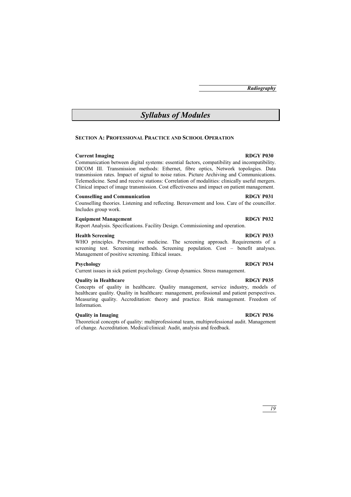## *Syllabus of Modules*

#### **SECTION A: PROFESSIONAL PRACTICE AND SCHOOL OPERATION**

#### **Current Imaging RDGY P030**

Communication between digital systems: essential factors, compatibility and incompatibility. DICOM III. Transmission methods: Ethernet, fibre optics, Network topologies. Data transmission rates. Impact of signal to noise ratios. Picture Archiving and Communications. Telemedicine. Send and receive stations: Correlation of modalities: clinically useful mergers. Clinical impact of image transmission. Cost effectiveness and impact on patient management.

#### **Counselling and Communication RDGY P031**

Counselling theories. Listening and reflecting. Bereavement and loss. Care of the councillor. Includes group work.

### **Equipment Management RDGY P032**

Report Analysis. Specifications. Facility Design. Commissioning and operation.

#### **Health Screening RDGY P033**

WHO principles. Preventative medicine. The screening approach. Requirements of a screening test. Screening methods. Screening population. Cost – benefit analyses. Management of positive screening. Ethical issues.

#### **Psychology RDGY P034**

Current issues in sick patient psychology. Group dynamics. Stress management.

### **Quality in Healthcare RDGY P035**

Concepts of quality in healthcare. Quality management, service industry, models of healthcare quality. Quality in healthcare: management, professional and patient perspectives. Measuring quality. Accreditation: theory and practice. Risk management. Freedom of Information.

### **Quality in Imaging RDGY P036**

Theoretical concepts of quality: multiprofessional team, multiprofessional audit. Management of change. Accreditation. Medical/clinical: Audit, analysis and feedback.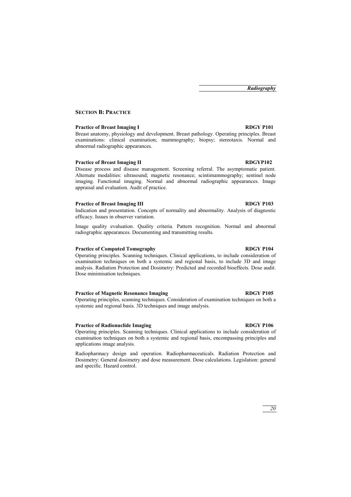### **SECTION B: PRACTICE**

#### **Practice of Breast Imaging I RDGY P101**

Breast anatomy, physiology and development. Breast pathology. Operating principles. Breast examinations: clinical examination; mammography; biopsy; stereotaxis. Normal and abnormal radiographic appearances.

#### **Practice of Breast Imaging II RDGYP102**

Disease process and disease management. Screening referral. The asymptomatic patient. Alternate modalities: ultrasound; magnetic resonance; scintimammography; sentinel node imaging. Functional imaging. Normal and abnormal radiographic appearances. Image appraisal and evaluation. Audit of practice.

#### **Practice of Breast Imaging III** RDGY P103

Indication and presentation. Concepts of normality and abnormality. Analysis of diagnostic efficacy. Issues in observer variation.

Image quality evaluation. Quality criteria. Pattern recognition. Normal and abnormal radiographic appearances. Documenting and transmitting results.

#### **Practice of Computed Tomography RDGY P104**

Operating principles. Scanning techniques. Clinical applications, to include consideration of examination techniques on both a systemic and regional basis, to include 3D and image analysis. Radiation Protection and Dosimetry: Predicted and recorded bioeffects. Dose audit. Dose minimisation techniques.

#### **Practice of Magnetic Resonance Imaging RDGY P105**

Operating principles, scanning techniques. Consideration of examination techniques on both a systemic and regional basis. 3D techniques and image analysis.

#### **Practice of Radionuclide Imaging RDGY P106**

Operating principles. Scanning techniques. Clinical applications to include consideration of examination techniques on both a systemic and regional basis, encompassing principles and applications image analysis.

Radiopharmacy design and operation. Radiopharmaceuticals. Radiation Protection and Dosimetry: General dosimetry and dose measurement. Dose calculations. Legislation: general and specific. Hazard control.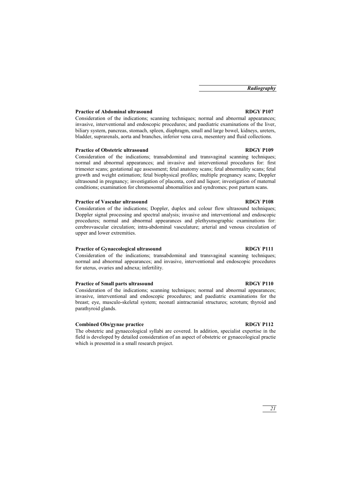### **Practice of Abdominal ultrasound RDGY P107**

Consideration of the indications; scanning techniques; normal and abnormal appearances; invasive, interventional and endoscopic procedures; and paediatric examinations of the liver, biliary system, pancreas, stomach, spleen, diaphragm, small and large bowel, kidneys, ureters, bladder, suprarenals, aorta and branches, inferior vena cava, mesentery and fluid collections.

#### **Practice of Obstetric ultrasound RDGY P109**

Consideration of the indications; transabdominal and transvaginal scanning techniques; normal and abnormal appearances; and invasive and interventional procedures for: first trimester scans; gestational age assessment; fetal anatomy scans; fetal abnormality scans; fetal growth and weight estimation; fetal biophysical profiles; multiple pregnancy scans; Doppler ultrasound in pregnancy; investigation of placenta, cord and liquor; investigation of maternal conditions; examination for chromosomal abnomalities and syndromes; post partum scans.

#### **Practice of Vascular ultrasound RDGY P108**

Consideration of the indications; Doppler, duplex and colour flow ultrasound techniques; Doppler signal processing and spectral analysis; invasive and interventional and endoscopic procedures; normal and abnormal appearances and plethysmographic examinations for: cerebrovascular circulation; intra-abdominal vasculature; arterial and venous circulation of upper and lower extremities.

### Practice of Gynaecological ultrasound RDGY P111

Consideration of the indications; transabdominal and transvaginal scanning techniques; normal and abnormal appearances; and invasive, interventional and endoscopic procedures for uterus, ovaries and adnexa; infertility.

#### **Practice of Small parts ultrasound RDGY P110**

Consideration of the indications; scanning techniques; normal and abnormal appearances; invasive, interventional and endoscopic procedures; and paediatric examinations for the breast; eye, musculo-skeletal system; neonatl aintracranial structures; scrotum; thyroid and parathyroid glands.

#### **Combined Obs/gynae practice RDGY P112**

The obstetric and gynaecological syllabi are covered. In addition, specialist expertise in the field is developed by detailed consideration of an aspect of obstetric or gynaecological practie which is presented in a small research project.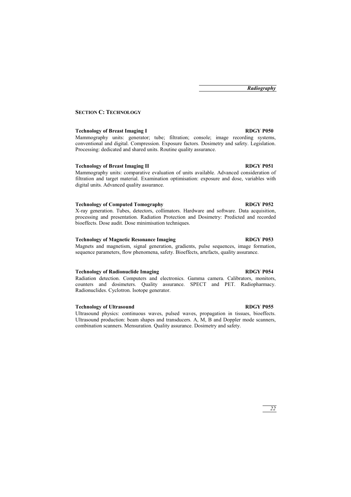### **SECTION C: TECHNOLOGY**

#### **Technology of Breast Imaging I RDGY P050**

Mammography units: generator; tube; filtration; console; image recording systems, conventional and digital. Compression. Exposure factors. Dosimetry and safety. Legislation. Processing: dedicated and shared units. Routine quality assurance.

### **Technology of Breast Imaging II RDGY P051**

Mammography units: comparative evaluation of units available. Advanced consideration of filtration and target material. Examination optimisation: exposure and dose, variables with digital units. Advanced quality assurance.

#### **Technology of Computed Tomography RDGY P052**

X-ray generation. Tubes, detectors, collimators. Hardware and software. Data acquisition, processing and presentation. Radiation Protection and Dosimetry: Predicted and recorded bioeffects. Dose audit. Dose minimisation techniques.

#### Technology of Magnetic Resonance Imaging RDGY P053

Magnets and magnetism, signal generation, gradients, pulse sequences, image formation, sequence parameters, flow phenomena, safety. Bioeffects, artefacts, quality assurance.

#### **Technology of Radionuclide Imaging**  Technology **RDGY P054**

Radiation detection. Computers and electronics. Gamma camera. Calibrators, monitors, counters and dosimeters. Quality assurance. SPECT and PET. Radiopharmacy. Radionuclides. Cyclotron. Isotope generator.

### Technology of Ultrasound RDGY P055

Ultrasound physics: continuous waves, pulsed waves, propagation in tissues, bioeffects. Ultrasound production: beam shapes and transducers. A, M, B and Doppler mode scanners, combination scanners. Mensuration. Quality assurance. Dosimetry and safety.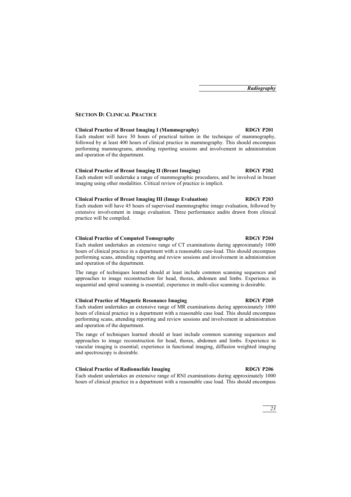### **SECTION D: CLINICAL PRACTICE**

#### **Clinical Practice of Breast Imaging I (Mammography) RDGY P201**

Each student will have 30 hours of practical tuition in the technique of mammography, followed by at least 400 hours of clinical practice in mammography. This should encompass performing mammograms, attending reporting sessions and involvement in administration and operation of the department.

#### **Clinical Practice of Breast Imaging II (Breast Imaging) RDGY P202**

Each student will undertake a range of mammographic procedures, and be involved in breast imaging using other modalities. Critical review of practice is implicit.

#### **Clinical Practice of Breast Imaging III (Image Evaluation) RDGY P203**

Each student will have 45 hours of supervised mammographic image evaluation, followed by extensive involvement in image evaluation. Three performance audits drawn from clinical practice will be compiled.

#### **Clinical Practice of Computed Tomography RDGY P204**

Each student undertakes an extensive range of CT examinations during approximately 1000 hours of clinical practice in a department with a reasonable case-load. This should encompass performing scans, attending reporting and review sessions and involvement in administration and operation of the department.

The range of techniques learned should at least include common scanning sequences and approaches to image reconstruction for head, thorax, abdomen and limbs. Experience in sequential and spiral scanning is essential; experience in multi-slice scanning is desirable.

#### **Clinical Practice of Magnetic Resonance Imaging RDGY P205**

Each student undertakes an extensive range of MR examinations during approximately 1000 hours of clinical practice in a department with a reasonable case load. This should encompass performing scans, attending reporting and review sessions and involvement in administration and operation of the department.

The range of techniques learned should at least include common scanning sequences and approaches to image reconstruction for head, thorax, abdomen and limbs. Experience in vascular imaging is essential; experience in functional imaging, diffusion weighted imaging and spectroscopy is desirable.

#### **Clinical Practice of Radionuclide Imaging RDGY P206**

Each student undertakes an extensive range of RNI examinations during approximately 1000 hours of clinical practice in a department with a reasonable case load. This should encompass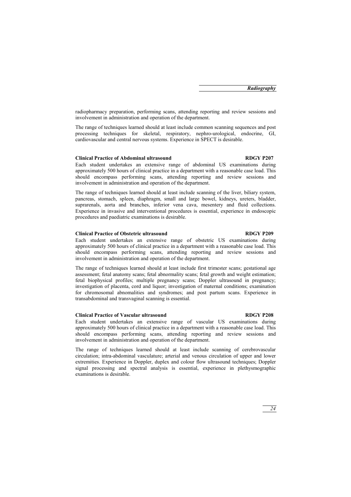radiopharmacy preparation, performing scans, attending reporting and review sessions and involvement in administration and operation of the department.

The range of techniques learned should at least include common scanning sequences and post processing techniques for skeletal, respiratory, nephro-urological, endocrine, GI, cardiovascular and central nervous systems. Experience in SPECT is desirable.

#### **Clinical Practice of Abdominal ultrasound RDGY P207**

Each student undertakes an extensive range of abdominal US examinations during approximately 500 hours of clinical practice in a department with a reasonable case load. This should encompass performing scans, attending reporting and review sessions and involvement in administration and operation of the department.

The range of techniques learned should at least include scanning of the liver, biliary system, pancreas, stomach, spleen, diaphragm, small and large bowel, kidneys, ureters, bladder, suprarenals, aorta and branches, inferior vena cava, mesentery and fluid collections. Experience in invasive and interventional procedures is essential, experience in endoscopic procedures and paediatric examinations is desirable.

#### **Clinical Practice of Obstetric ultrasound RDGY P209**

#### Each student undertakes an extensive range of obstetric US examinations during approximately 500 hours of clinical practice in a department with a reasonable case load. This should encompass performing scans, attending reporting and review sessions and involvement in administration and operation of the department.

The range of techniques learned should at least include first trimester scans; gestational age assessment; fetal anatomy scans; fetal abnormality scans; fetal growth and weight estimation; fetal biophysical profiles; multiple pregnancy scans; Doppler ultrasound in pregnancy; investigation of placenta, cord and liquor; investigation of maternal conditions; examination for chromosomal abnomalities and syndromes; and post partum scans. Experience in transabdominal and transvaginal scanning is essential.

#### **Clinical Practice of Vascular ultrasound RDGY P208**

#### Each student undertakes an extensive range of vascular US examinations during approximately 500 hours of clinical practice in a department with a reasonable case load. This should encompass performing scans, attending reporting and review sessions and involvement in administration and operation of the department.

The range of techniques learned should at least include scanning of cerebrovascular circulation; intra-abdominal vasculature; arterial and venous circulation of upper and lower extremities. Experience in Doppler, duplex and colour flow ultrasound techniques; Doppler signal processing and spectral analysis is essential, experience in plethysmographic examinations is desirable.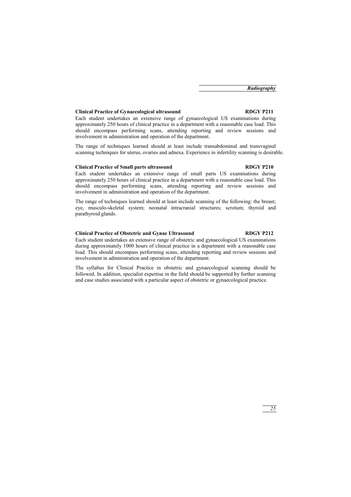#### **Clinical Practice of Gynaecological ultrasound RDGY P211**

Each student undertakes an extensive range of gynaecological US examinations during approximately 250 hours of clinical practice in a department with a reasonable case load. This should encompass performing scans, attending reporting and review sessions and involvement in administration and operation of the department.

The range of techniques learned should at least include transabdominal and transvaginal scanning techniques for uterus, ovaries and adnexa. Experience in infertility scanning is desirable.

#### **Clinical Practice of Small parts ultrasound RDGY P210**

Each student undertakes an extensive range of small parts US examinations during approximately 250 hours of clinical practice in a department with a reasonable case load. This should encompass performing scans, attending reporting and review sessions and involvement in administration and operation of the department.

The range of techniques learned should at least include scanning of the following: the breast; eye, musculo-skeletal system; neonatal intracranial structures; scrotum; thyroid and parathyroid glands.

#### **Clinical Practice of Obstetric and Gynae Ultrasound RDGY P212**

involvement in administration and operation of the department.

Each student undertakes an extensive range of obstetric and gynaecological US examinations during approximately 1000 hours of clinical practice in a department with a reasonable case load. This should encompass performing scans, attending reporting and review sessions and

The syllabus for Clinical Practice in obstetric and gynaecological scanning should be followed. In addition, specialist expertise in the field should be supported by further scanning and case studies associated with a particular aspect of obstetric or gynaecological practice.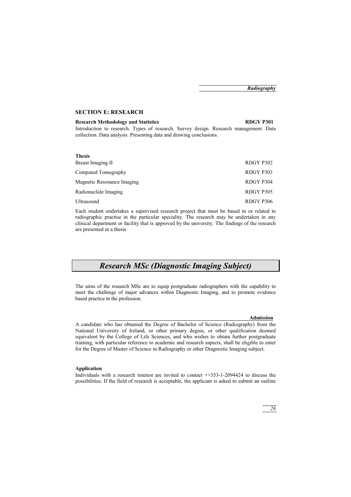### **SECTION E: RESEARCH**

#### **Research Methodology and Statistics RDGY P301**

Introduction to research. Types of research. Survey design. Research management. Data collection. Data analysis. Presenting data and drawing conclusions.

#### **Thesis**

| Breast Imaging II          | RDGY P302 |
|----------------------------|-----------|
| Computed Tomography        | RDGY P303 |
| Magnetic Resonance Imaging | RDGY P304 |
| Radionuclide Imaging       | RDGY P305 |
| Ultrasound                 | RDGY P306 |

Each student undertakes a supervised research project that must be based in or related to radiographic practise in the particular speciality. The research may be undertaken in any clinical department or facility that is approved by the university. The findings of the research are presented in a thesis.

## *Research MSc (Diagnostic Imaging Subject)*

The aims of the research MSc are to equip postgraduate radiographers with the capability to meet the challenge of major advances within Diagnostic Imaging, and to promote evidence based practice in the profession.

#### **Admission**

A candidate who has obtained the Degree of Bachelor of Science (Radiography) from the National University of Ireland, or other primary degree, or other qualification deemed equivalent by the College of Life Sciences, and who wishes to obtain further postgraduate training, with particular reference to academic and research aspects, shall be eligible to enter for the Degree of Master of Science in Radiography or other Diagnostic Imaging subject.

#### **Application**

Individuals with a research interest are invited to contact ++353-1-2094424 to discuss the possibilities. If the field of research is acceptable, the applicant is asked to submit an outline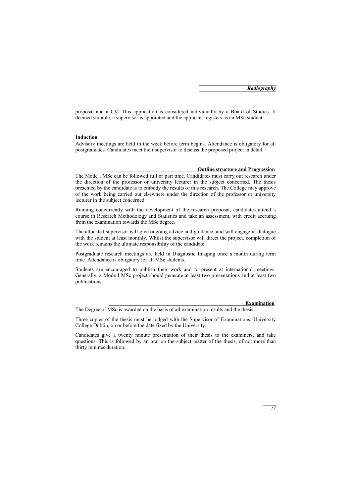proposal and a CV. This application is considered individually by a Board of Studies. If deemed suitable, a supervisor is appointed and the applicant registers as an MSc student.

#### **Induction**

Advisory meetings are held in the week before term begins. Attendance is obligatory for all postgraduates. Candidates meet their supervisor to discuss the proposed project in detail.

#### **Outline structure and Progression**

The Mode I MSc can be followed full or part time. Candidates must carry out research under the direction of the professor or university lecturer in the subject concerned. The thesis presented by the candidate is to embody the results of this research. The College may approve of the work being carried out elsewhere under the direction of the professor or university lecturer in the subject concerned.

Running concurrently with the development of the research proposal, candidates attend a course in Research Methodology and Statistics and take an assessment, with credit accruing from the examination towards the MSc degree.

The allocated supervisor will give ongoing advice and guidance, and will engage in dialogue with the student at least monthly. Whilst the supervisor will direct the project, completion of the work remains the ultimate responsibility of the candidate.

Postgraduate research meetings are held in Diagnostic Imaging once a month during term time. Attendance is obligatory for all MSc students.

Students are encouraged to publish their work and to present at international meetings. Generally, a Mode I MSc project should generate at least two presentations and at least two publications.

#### **Examination**

The Degree of MSc is awarded on the basis of all examination results and the thesis.

Three copies of the thesis must be lodged with the Supervisor of Examinations, University College Dublin, on or before the date fixed by the University.

Candidates give a twenty minute presentation of their thesis to the examiners, and take questions. This is followed by an oral on the subject matter of the thesis, of not more than thirty minutes duration.